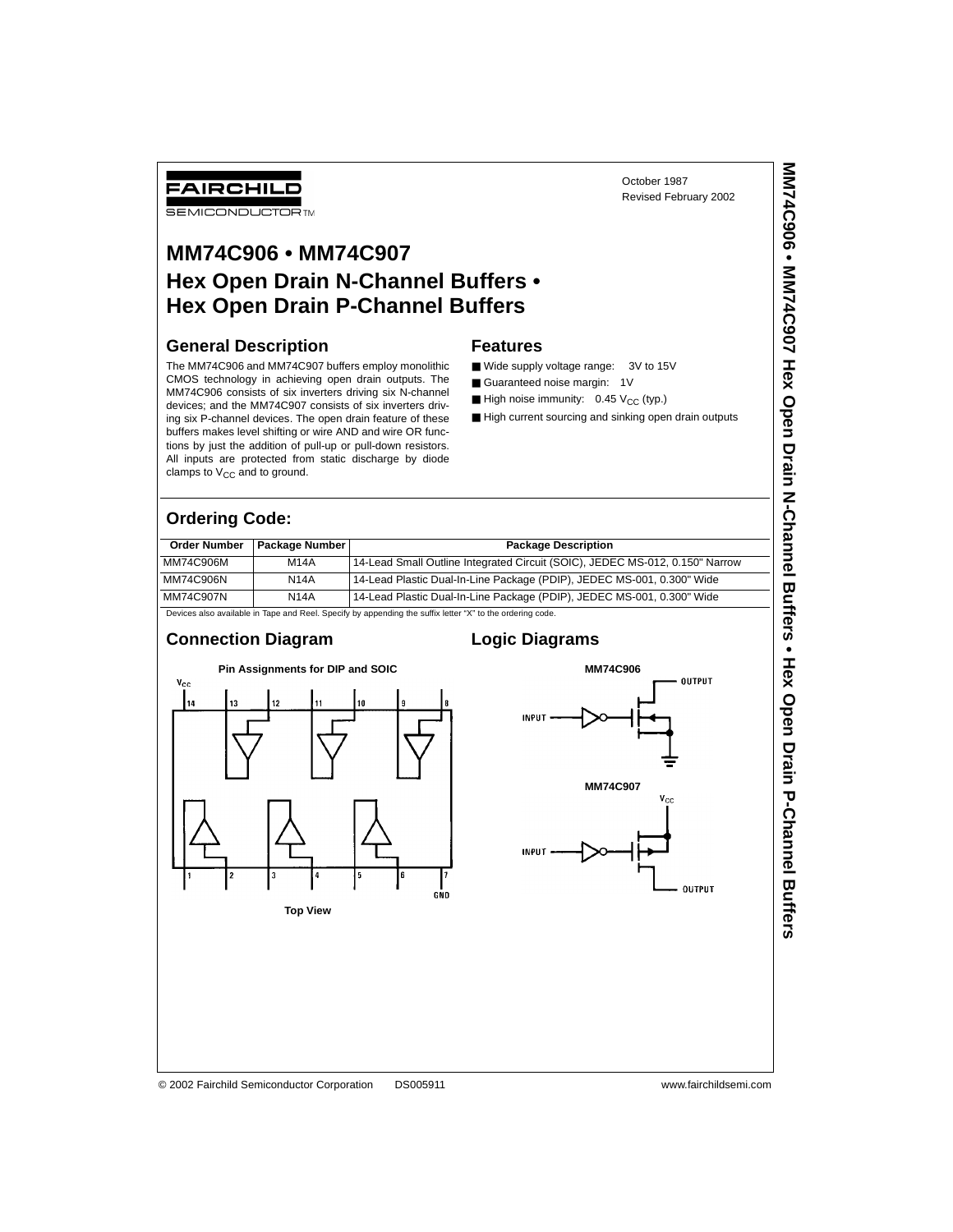FAIRCHILD

**SEMICONDUCTOR TM** 

# **MM74C906 • MM74C907 Hex Open Drain N-Channel Buffers • Hex Open Drain P-Channel Buffers**

### **General Description**

The MM74C906 and MM74C907 buffers employ monolithic CMOS technology in achieving open drain outputs. The MM74C906 consists of six inverters driving six N-channel devices; and the MM74C907 consists of six inverters driving six P-channel devices. The open drain feature of these buffers makes level shifting or wire AND and wire OR functions by just the addition of pull-up or pull-down resistors. All inputs are protected from static discharge by diode clamps to  $V_{CC}$  and to ground.

### **Features**

- Wide supply voltage range: 3V to 15V
- Guaranteed noise margin: 1V
- High noise immunity:  $0.45 V_{CC}$  (typ.)
- High current sourcing and sinking open drain outputs

October 1987 Revised February 2002

## **Ordering Code:**

| <b>Order Number</b> | <b>Package Number</b> | <b>Package Description</b>                                                                                |
|---------------------|-----------------------|-----------------------------------------------------------------------------------------------------------|
| MM74C906M           | <b>M14A</b>           | 14-Lead Small Outline Integrated Circuit (SOIC), JEDEC MS-012, 0.150" Narrow                              |
| MM74C906N           | <b>N14A</b>           | 14-Lead Plastic Dual-In-Line Package (PDIP), JEDEC MS-001, 0.300" Wide                                    |
| MM74C907N           | <b>N14A</b>           | 14-Lead Plastic Dual-In-Line Package (PDIP), JEDEC MS-001, 0.300" Wide                                    |
|                     |                       | Devices also available in Tape and Reel. Specify by appending the suffix letter "X" to the ordering code. |

#### **Connection Diagram**



## **Logic Diagrams**



MM74C906 • MM74C907 Hex Open Drain M-Channel Bufers • Hex Open Drain P-Channel Buffers **MM74C906 • MM74C907 Hex Open Drain N-Channel Buffers • Hex Open Drain P-Channel Buffers**

© 2002 Fairchild Semiconductor Corporation DS005911 www.fairchildsemi.com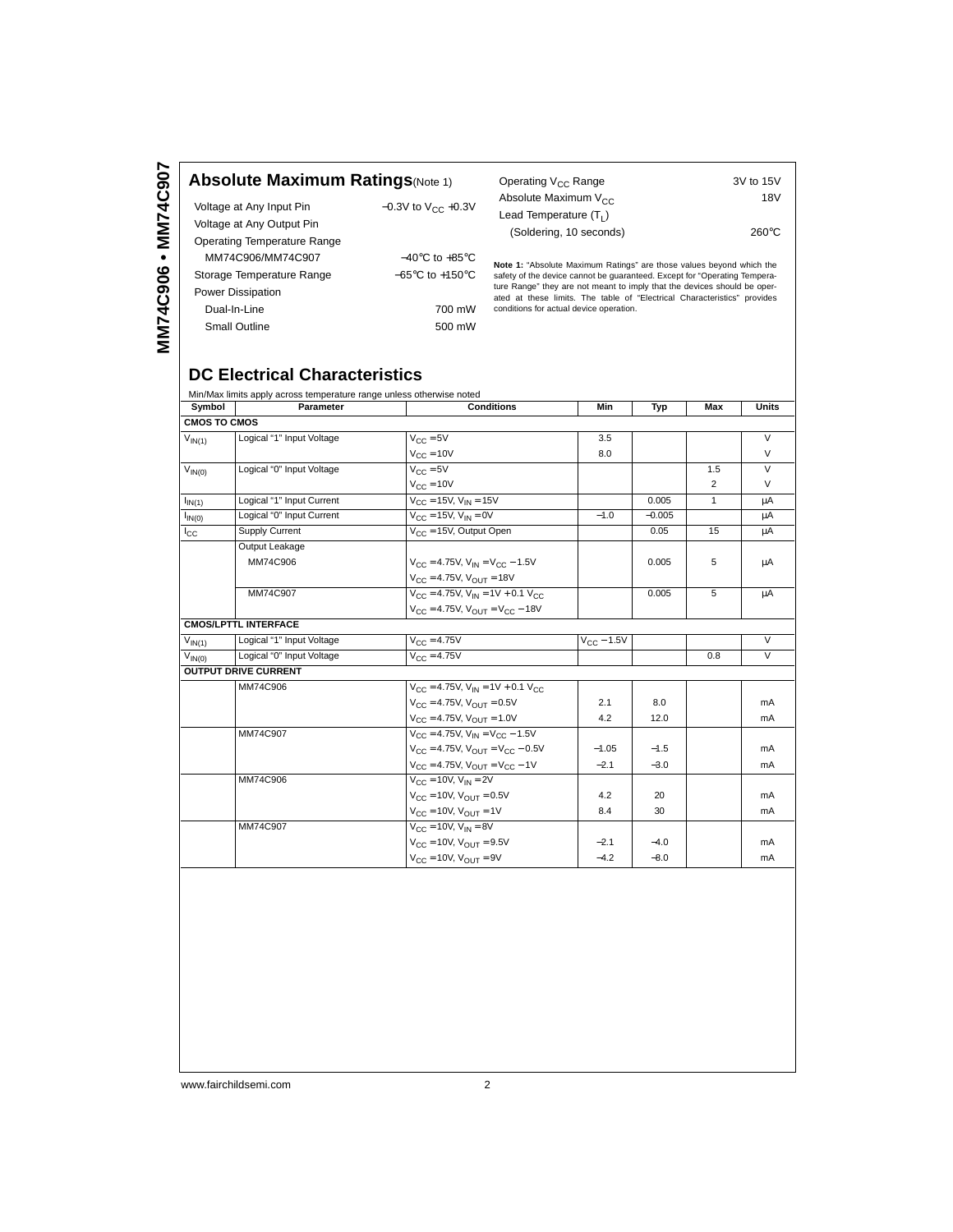|  |  | <b>Absolute Maximum Ratings(Note 1)</b> |
|--|--|-----------------------------------------|
|--|--|-----------------------------------------|

| Voltage at Any Input Pin    | $-0.3V$ to $V_{CC}$ +0.3V           |
|-----------------------------|-------------------------------------|
| Voltage at Any Output Pin   |                                     |
| Operating Temperature Range |                                     |
| MM74C906/MM74C907           | $-40^{\circ}$ C to $+85^{\circ}$ C  |
| Storage Temperature Range   | $-65^{\circ}$ C to $+150^{\circ}$ C |
| <b>Power Dissipation</b>    |                                     |
| Dual-In-Line                | 700 mW                              |
| <b>Small Outline</b>        | 500 mW                              |

| Operating V <sub>CC</sub> Range | 3V to 15V       |
|---------------------------------|-----------------|
| Absolute Maximum $V_{CC}$       | 18V             |
| Lead Temperature $(T_1)$        |                 |
| (Soldering, 10 seconds)         | $260^{\circ}$ C |

**Note 1:** "Absolute Maximum Ratings" are those values beyond which the safety of the device cannot be guaranteed. Except for "Operating Temperature Range" they are not meant to imply that the devices should be operated at

## **DC Electrical Characteristics**

|                                          |                                                                    |                                                                                                                                                |          |                | <b>Units</b> |
|------------------------------------------|--------------------------------------------------------------------|------------------------------------------------------------------------------------------------------------------------------------------------|----------|----------------|--------------|
|                                          |                                                                    |                                                                                                                                                |          |                |              |
| Logical "1" Input Voltage                |                                                                    | 3.5                                                                                                                                            |          |                | $\vee$       |
|                                          | $V_{C}$ = 10V                                                      | 8.0                                                                                                                                            |          |                | $\vee$       |
| Logical "0" Input Voltage<br>$V_{IN(0)}$ | $V_{C} = 5V$                                                       |                                                                                                                                                |          | 1.5            | $\vee$       |
|                                          | $V_{CC} = 10V$                                                     |                                                                                                                                                |          | $\overline{2}$ | $\vee$       |
| Logical "1" Input Current                | $V_{\text{CC}} = 15V$ , $V_{\text{IN}} = 15V$                      |                                                                                                                                                | 0.005    | $\mathbf{1}$   | μA           |
| Logical "0" Input Current                | $V_{C} = 15V, V_{IN} = 0V$                                         | $-1.0$                                                                                                                                         | $-0.005$ |                | μA           |
| Supply Current                           | $V_{\text{CC}} = 15V$ , Output Open                                |                                                                                                                                                | 0.05     | 15             | μA           |
| Output Leakage                           |                                                                    |                                                                                                                                                |          |                |              |
| MM74C906                                 | $V_{CC} = 4.75V$ , $V_{IN} = V_{CC} - 1.5V$                        |                                                                                                                                                | 0.005    | 5              | μA           |
|                                          | $V_{\text{CC}} = 4.75V$ , $V_{\text{OUT}} = 18V$                   |                                                                                                                                                |          |                |              |
| MM74C907                                 | $V_{\text{CC}} = 4.75V$ , $V_{\text{IN}} = 1V + 0.1 V_{\text{CC}}$ |                                                                                                                                                | 0.005    | 5              | μA           |
|                                          | $V_{CC} = 4.75V$ , $V_{OIII} = V_{CC} - 18V$                       |                                                                                                                                                |          |                |              |
| <b>CMOS/LPTTL INTERFACE</b>              |                                                                    |                                                                                                                                                |          |                |              |
| Logical "1" Input Voltage                | $V_{CC} = 4.75V$                                                   | $V_{\rm CC}$ – 1.5V                                                                                                                            |          |                | $\vee$       |
| Logical "0" Input Voltage                | $V_{C} = 4.75V$                                                    |                                                                                                                                                |          | 0.8            | $\vee$       |
| <b>OUTPUT DRIVE CURRENT</b>              |                                                                    |                                                                                                                                                |          |                |              |
| MM74C906                                 | $V_{CC} = 4.75V$ , $V_{IN} = 1V + 0.1 V_{CC}$                      |                                                                                                                                                |          |                |              |
|                                          | $V_{\text{CC}} = 4.75V$ , $V_{\text{OUT}} = 0.5V$                  | 2.1                                                                                                                                            | 8.0      |                | mA           |
|                                          | $V_{\text{CC}} = 4.75V$ , $V_{\text{OUT}} = 1.0V$                  | 4.2                                                                                                                                            | 12.0     |                | mA           |
| MM74C907                                 | $V_{CC} = 4.75V$ , $V_{IN} = V_{CC} - 1.5V$                        |                                                                                                                                                |          |                |              |
|                                          | $V_{CC} = 4.75V$ , $V_{OUT} = V_{CC} - 0.5V$                       | $-1.05$                                                                                                                                        | $-1.5$   |                | mA           |
|                                          | $V_{CC} = 4.75V$ , $V_{OUT} = V_{CC} - 1V$                         | $-2.1$                                                                                                                                         | $-3.0$   |                | mA           |
| MM74C906                                 | $V_{C} = 10V$ , $V_{IN} = 2V$                                      |                                                                                                                                                |          |                |              |
|                                          | $V_{\text{CC}} = 10V$ , $V_{\text{OUT}} = 0.5V$                    | 4.2                                                                                                                                            | 20       |                | mA           |
|                                          | $V_{\text{CC}} = 10V$ , $V_{\text{OUT}} = 1V$                      | 8.4                                                                                                                                            | 30       |                | mA           |
| MM74C907                                 | $V_{C} = 10V$ , $V_{IN} = 8V$                                      |                                                                                                                                                |          |                |              |
|                                          |                                                                    | $-2.1$                                                                                                                                         | $-4.0$   |                | mA           |
|                                          | $V_{\text{CC}} = 10V$ , $V_{\text{OUT}} = 9V$                      | $-4.2$                                                                                                                                         | $-8.0$   |                | mA           |
|                                          | Symbol<br>Parameter<br><b>CMOS TO CMOS</b>                         | Min/Max limits apply across temperature range unless otherwise noted<br><b>Conditions</b><br>$V_{CC} = 5V$<br>$V_{C} = 10V$ , $V_{OUT} = 9.5V$ | Min      | Typ            | Max          |

www.fairchildsemi.com 2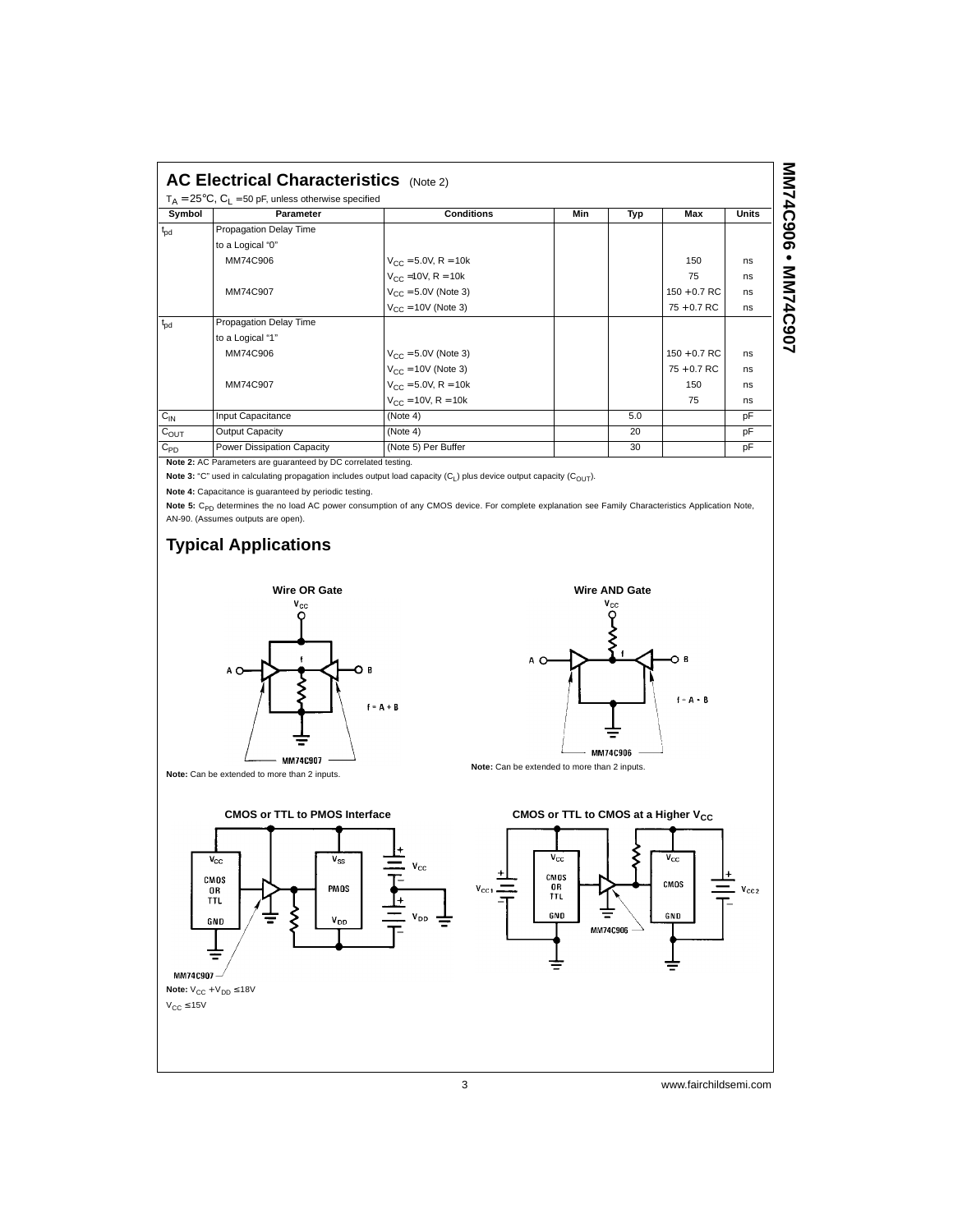| $T_A = 25^{\circ}$ C, C <sub>1</sub> = 50 pF, unless otherwise specified |                            |                           |     |     |                |              |  |
|--------------------------------------------------------------------------|----------------------------|---------------------------|-----|-----|----------------|--------------|--|
| Symbol                                                                   | Parameter                  | <b>Conditions</b>         | Min | Typ | Max            | <b>Units</b> |  |
| $t_{\rm{pd}}$                                                            | Propagation Delay Time     |                           |     |     |                |              |  |
|                                                                          | to a Logical "0"           |                           |     |     |                |              |  |
|                                                                          | MM74C906                   | $V_{CC} = 5.0V$ , R = 10k |     |     | 150            | ns           |  |
|                                                                          |                            | $V_{CC}$ =10V, R = 10k    |     |     | 75             | ns           |  |
|                                                                          | MM74C907                   | $V_{C} = 5.0V$ (Note 3)   |     |     | $150 + 0.7$ RC | ns           |  |
|                                                                          |                            | $V_{CC}$ = 10V (Note 3)   |     |     | $75 + 0.7$ RC  | ns           |  |
| $t_{\rm od}$                                                             | Propagation Delay Time     |                           |     |     |                |              |  |
|                                                                          | to a Logical "1"           |                           |     |     |                |              |  |
|                                                                          | MM74C906                   | $V_{CC} = 5.0V$ (Note 3)  |     |     | $150 + 0.7$ RC | ns           |  |
|                                                                          |                            | $V_{CC}$ = 10V (Note 3)   |     |     | $75 + 0.7$ RC  | ns           |  |
|                                                                          | MM74C907                   | $V_{CC} = 5.0V$ , R = 10k |     |     | 150            | ns           |  |
|                                                                          |                            | $V_{CC} = 10V$ , R = 10k  |     |     | 75             | ns           |  |
| $C_{IN}$                                                                 | Input Capacitance          | (Note 4)                  |     | 5.0 |                | pF           |  |
| $C_{OUT}$                                                                | Output Capacity            | (Note 4)                  |     | 20  |                | pF           |  |
| $C_{PD}$                                                                 | Power Dissipation Capacity | (Note 5) Per Buffer       |     | 30  |                | pF           |  |

**Note 2:** AC Parameters are guaranteed by DC correlated testing.

Note 3: "C" used in calculating propagation includes output load capacity (C<sub>L</sub>) plus device output capacity (C<sub>OUT</sub>).

**Note 4:** Capacitance is guaranteed by periodic testing.

Note 5: C<sub>PD</sub> determines the no load AC power consumption of any CMOS device. For complete explanation see Family Characteristics Application Note, AN-90. (Assumes outputs are open).

## **Typical Applications**





**Note:** Can be extended to more than 2 inputs.



3 www.fairchildsemi.com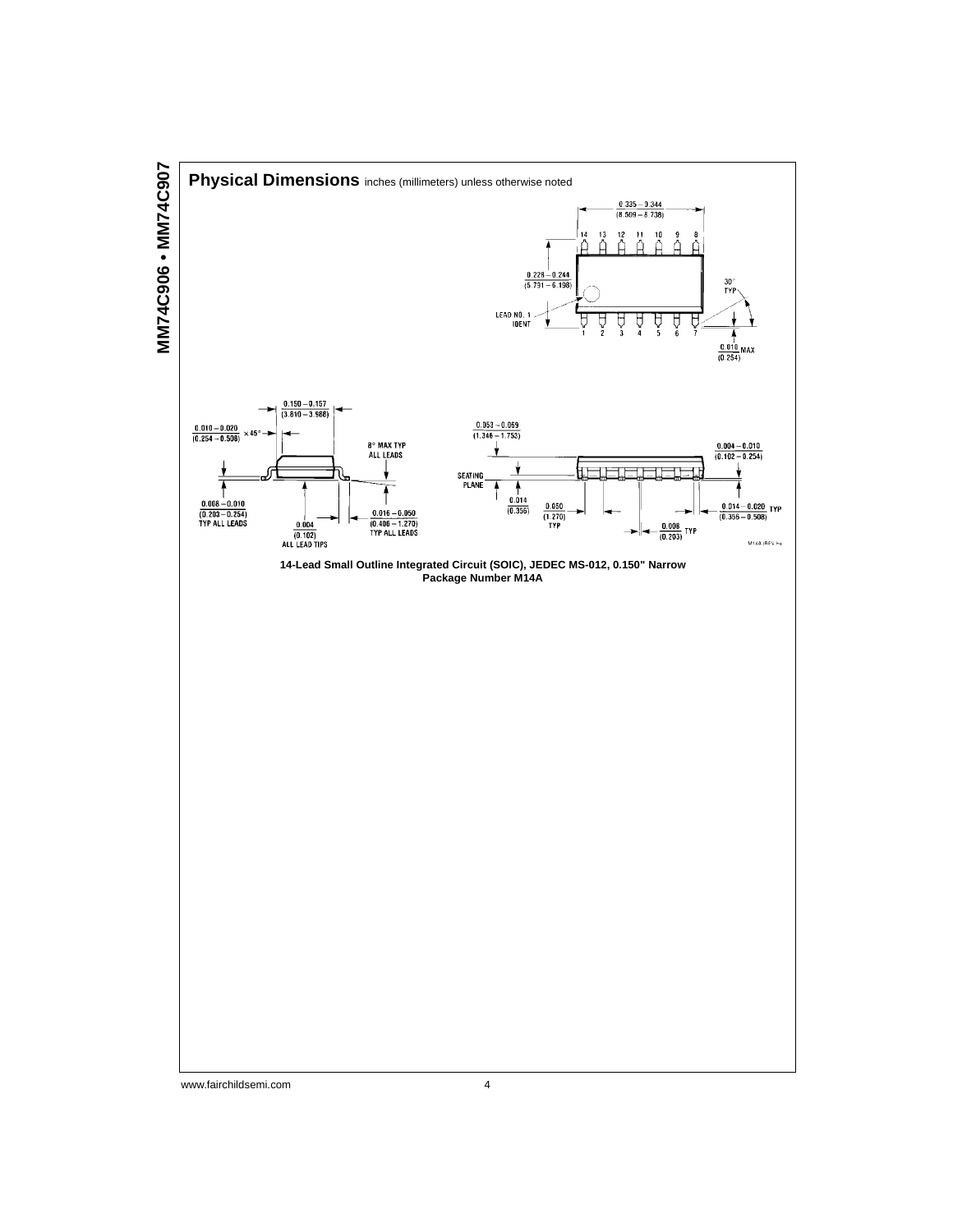